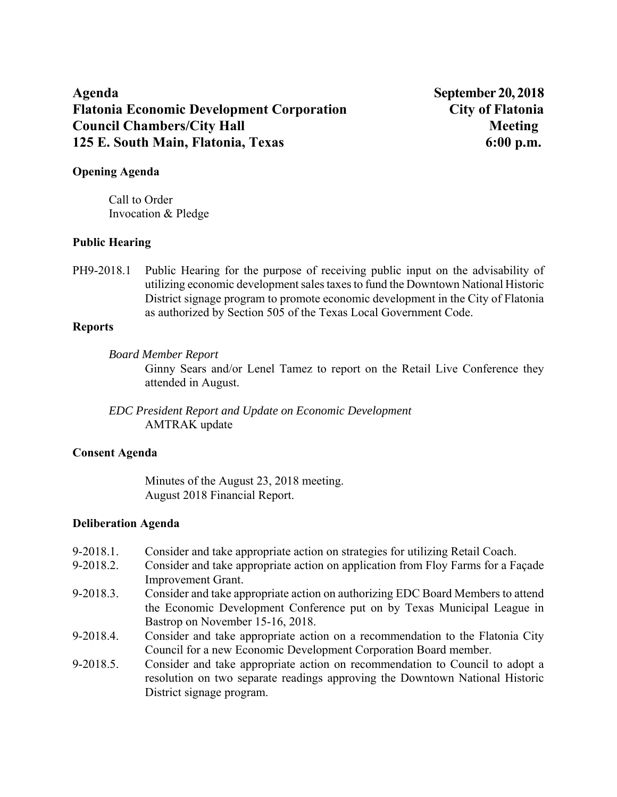# **Agenda September 20, 2018 Flatonia Economic Development Corporation City of Flatonia Council Chambers/City Hall Meeting 3.1 All Meeting 3.1 All Meeting 3.1 All Meeting 3.1 All Meeting 3.1 All Meeting 3.1 All Meeting 3.1 All Meeting 3.1 All Meeting 3.1 All Meeting 3.1 All Meeting 3.1 All Meeting 3.1 All Me 125 E. South Main, Flatonia, Texas 6:00 p.m.**

### **Opening Agenda**

Call to Order Invocation & Pledge

### **Public Hearing**

PH9-2018.1 Public Hearing for the purpose of receiving public input on the advisability of utilizing economic development sales taxes to fund the Downtown National Historic District signage program to promote economic development in the City of Flatonia as authorized by Section 505 of the Texas Local Government Code.

#### **Reports**

*Board Member Report*

Ginny Sears and/or Lenel Tamez to report on the Retail Live Conference they attended in August.

*EDC President Report and Update on Economic Development*  AMTRAK update

## **Consent Agenda**

Minutes of the August 23, 2018 meeting. August 2018 Financial Report.

## **Deliberation Agenda**

- 9-2018.1. Consider and take appropriate action on strategies for utilizing Retail Coach.
- 9-2018.2. Consider and take appropriate action on application from Floy Farms for a Façade Improvement Grant.
- 9-2018.3. Consider and take appropriate action on authorizing EDC Board Members to attend the Economic Development Conference put on by Texas Municipal League in Bastrop on November 15-16, 2018.
- 9-2018.4. Consider and take appropriate action on a recommendation to the Flatonia City Council for a new Economic Development Corporation Board member.
- 9-2018.5. Consider and take appropriate action on recommendation to Council to adopt a resolution on two separate readings approving the Downtown National Historic District signage program.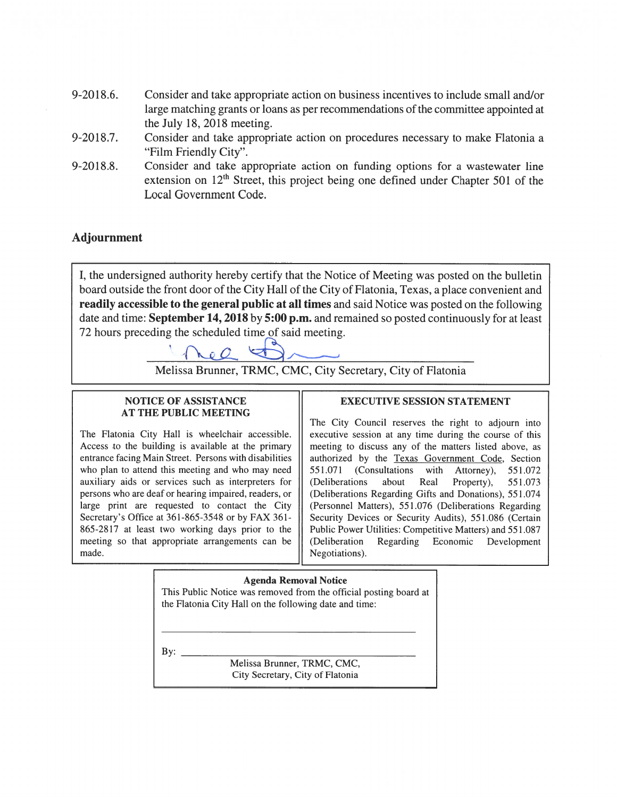- 9-2018.6. Consider and take appropriate action on business incentives to include small and/or large matching grants or loans as per recommendations of the committee appointed at the July 18, 2018 meeting.
- Consider and take appropriate action on procedures necessary to make Flatonia a 9-2018.7. "Film Friendly City".
- Consider and take appropriate action on funding options for a wastewater line 9-2018.8. extension on  $12<sup>th</sup>$  Street, this project being one defined under Chapter 501 of the Local Government Code.

## **Adjournment**

I, the undersigned authority hereby certify that the Notice of Meeting was posted on the bulletin board outside the front door of the City Hall of the City of Flatonia, Texas, a place convenient and readily accessible to the general public at all times and said Notice was posted on the following date and time: September 14, 2018 by 5:00 p.m. and remained so posted continuously for at least 72 hours preceding the scheduled time of said meeting.



Melissa Brunner, TRMC, CMC, City Secretary, City of Flatonia

#### **NOTICE OF ASSISTANCE AT THE PUBLIC MEETING**

The Flatonia City Hall is wheelchair accessible. Access to the building is available at the primary entrance facing Main Street. Persons with disabilities who plan to attend this meeting and who may need auxiliary aids or services such as interpreters for persons who are deaf or hearing impaired, readers, or large print are requested to contact the City Secretary's Office at 361-865-3548 or by FAX 361-865-2817 at least two working days prior to the meeting so that appropriate arrangements can be made.

#### **EXECUTIVE SESSION STATEMENT**

The City Council reserves the right to adjourn into executive session at any time during the course of this meeting to discuss any of the matters listed above, as authorized by the Texas Government Code, Section 551.071 (Consultations with Attorney), 551.072 (Deliberations about Real Property), 551.073 (Deliberations Regarding Gifts and Donations), 551.074 (Personnel Matters), 551.076 (Deliberations Regarding Security Devices or Security Audits), 551.086 (Certain Public Power Utilities: Competitive Matters) and 551.087 (Deliberation Regarding Economic Development Negotiations).

#### **Agenda Removal Notice**

This Public Notice was removed from the official posting board at the Flatonia City Hall on the following date and time:

 $\mathbf{By:}$ 

Melissa Brunner, TRMC, CMC, City Secretary, City of Flatonia